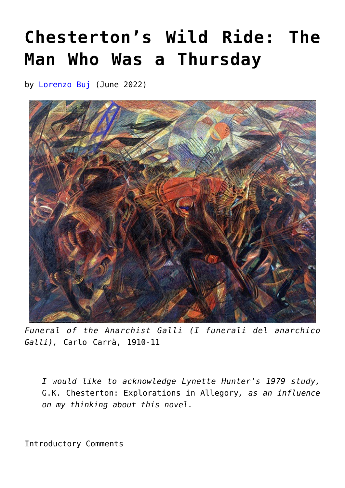## **[Chesterton's Wild Ride: The](https://www.newenglishreview.org/articles/chestertons-wild-ride-the-man-who-was-a-thursday/) [Man Who Was a Thursday](https://www.newenglishreview.org/articles/chestertons-wild-ride-the-man-who-was-a-thursday/)**

by **[Lorenzo Buj](https://www.newenglishreview.org/authors/lorenzo-buj/)** (June 2022)



*Funeral of the Anarchist Galli (I funerali del anarchico Galli),* Carlo Carrà, 1910-11

*I would like to acknowledge Lynette Hunter's 1979 study,* G.K. Chesterton: Explorations in Allegory*, as an influence on my thinking about this novel.*

Introductory Comments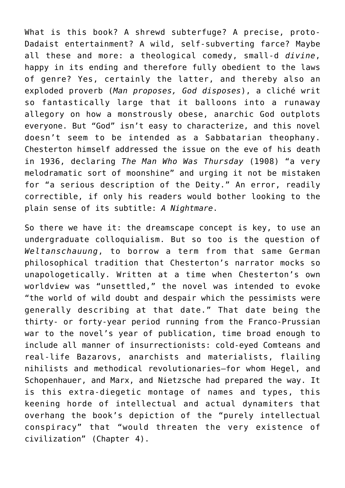What is this book? A shrewd subterfuge? A precise, proto-Dadaist entertainment? A wild, self-subverting farce? Maybe all these and more: a theological comedy, small-d *divine*, happy in its ending and therefore fully obedient to the laws of genre? Yes, certainly the latter, and thereby also an exploded proverb (*Man proposes, God disposes*), a cliché writ so fantastically large that it balloons into a runaway allegory on how a monstrously obese, anarchic God outplots everyone. But "God" isn't easy to characterize, and this novel doesn't seem to be intended as a Sabbatarian theophany. Chesterton himself addressed the issue on the eve of his death in 1936, declaring *The Man Who Was Thursday* (1908) "a very melodramatic sort of moonshine" and urging it not be mistaken for "a serious description of the Deity." An error, readily correctible, if only his readers would bother looking to the plain sense of its subtitle: *A Nightmare*.

So there we have it: the dreamscape concept is key, to use an undergraduate colloquialism. But so too is the question of *Weltanschauung*, to borrow a term from that same German philosophical tradition that Chesterton's narrator mocks so unapologetically. Written at a time when Chesterton's own worldview was "unsettled," the novel was intended to evoke "the world of wild doubt and despair which the pessimists were generally describing at that date." That date being the thirty- or forty-year period running from the Franco-Prussian war to the novel's year of publication, time broad enough to include all manner of insurrectionists: cold-eyed Comteans and real-life Bazarovs, anarchists and materialists, flailing nihilists and methodical revolutionaries—for whom Hegel, and Schopenhauer, and Marx, and Nietzsche had prepared the way. It is this extra-diegetic montage of names and types, this keening horde of intellectual and actual dynamiters that overhang the book's depiction of the "purely intellectual conspiracy" that "would threaten the very existence of civilization" (Chapter 4).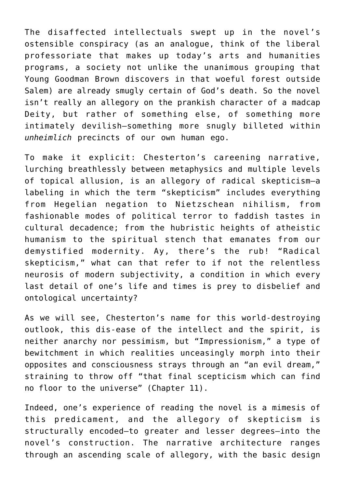The disaffected intellectuals swept up in the novel's ostensible conspiracy (as an analogue, think of the liberal professoriate that makes up today's arts and humanities programs, a society not unlike the unanimous grouping that Young Goodman Brown discovers in that woeful forest outside Salem) are already smugly certain of God's death. So the novel isn't really an allegory on the prankish character of a madcap Deity, but rather of something else, of something more intimately devilish—something more snugly billeted within *unheimlich* precincts of our own human ego.

To make it explicit: Chesterton's careening narrative, lurching breathlessly between metaphysics and multiple levels of topical allusion, is an allegory of radical skepticism—a labeling in which the term "skepticism" includes everything from Hegelian negation to Nietzschean nihilism, from fashionable modes of political terror to faddish tastes in cultural decadence; from the hubristic heights of atheistic humanism to the spiritual stench that emanates from our demystified modernity. Ay, there's the rub! "Radical skepticism," what can that refer to if not the relentless neurosis of modern subjectivity, a condition in which every last detail of one's life and times is prey to disbelief and ontological uncertainty?

As we will see, Chesterton's name for this world-destroying outlook, this dis-ease of the intellect and the spirit, is neither anarchy nor pessimism, but "Impressionism," a type of bewitchment in which realities unceasingly morph into their opposites and consciousness strays through an "an evil dream," straining to throw off "that final scepticism which can find no floor to the universe" (Chapter 11).

Indeed, one's experience of reading the novel is a mimesis of this predicament, and the allegory of skepticism is structurally encoded—to greater and lesser degrees—into the novel's construction. The narrative architecture ranges through an ascending scale of allegory, with the basic design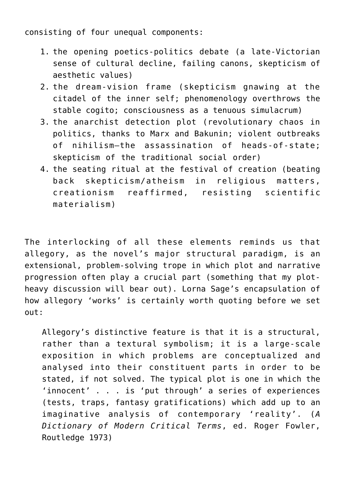consisting of four unequal components:

- 1. the opening poetics-politics debate (a late-Victorian sense of cultural decline, failing canons, skepticism of aesthetic values)
- 2. the dream-vision frame (skepticism gnawing at the citadel of the inner self; phenomenology overthrows the stable cogito; consciousness as a tenuous simulacrum)
- 3. the anarchist detection plot (revolutionary chaos in politics, thanks to Marx and Bakunin; violent outbreaks of nihilism—the assassination of heads-of-state; skepticism of the traditional social order)
- 4. the seating ritual at the festival of creation (beating back skepticism/atheism in religious matters, creationism reaffirmed, resisting scientific materialism)

The interlocking of all these elements reminds us that allegory, as the novel's major structural paradigm, is an extensional, problem-solving trope in which plot and narrative progression often play a crucial part (something that my plotheavy discussion will bear out). Lorna Sage's encapsulation of how allegory 'works' is certainly worth quoting before we set out:

Allegory's distinctive feature is that it is a structural, rather than a textural symbolism; it is a large-scale exposition in which problems are conceptualized and analysed into their constituent parts in order to be stated, if not solved. The typical plot is one in which the 'innocent' . . . is 'put through' a series of experiences (tests, traps, fantasy gratifications) which add up to an imaginative analysis of contemporary 'reality'. (*A Dictionary of Modern Critical Terms*, ed. Roger Fowler, Routledge 1973)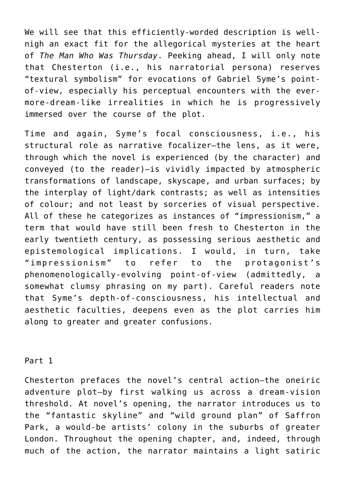We will see that this efficiently-worded description is wellnigh an exact fit for the allegorical mysteries at the heart of *The Man Who Was Thursday*. Peeking ahead, I will only note that Chesterton (i.e., his narratorial persona) reserves "textural symbolism" for evocations of Gabriel Syme's pointof-view, especially his perceptual encounters with the evermore-dream-like irrealities in which he is progressively immersed over the course of the plot.

Time and again, Syme's focal consciousness, i.e., his structural role as narrative focalizer—the lens, as it were, through which the novel is experienced (by the character) and conveyed (to the reader)—is vividly impacted by atmospheric transformations of landscape, skyscape, and urban surfaces; by the interplay of light/dark contrasts; as well as intensities of colour; and not least by sorceries of visual perspective. All of these he categorizes as instances of "impressionism," a term that would have still been fresh to Chesterton in the early twentieth century, as possessing serious aesthetic and epistemological implications. I would, in turn, take "impressionism" to refer to the protagonist's phenomenologically-evolving point-of-view (admittedly, a somewhat clumsy phrasing on my part). Careful readers note that Syme's depth-of-consciousness, his intellectual and aesthetic faculties, deepens even as the plot carries him along to greater and greater confusions.

Part 1

Chesterton prefaces the novel's central action—the oneiric adventure plot—by first walking us across a dream-vision threshold. At novel's opening, the narrator introduces us to the "fantastic skyline" and "wild ground plan" of Saffron Park, a would-be artists' colony in the suburbs of greater London. Throughout the opening chapter, and, indeed, through much of the action, the narrator maintains a light satiric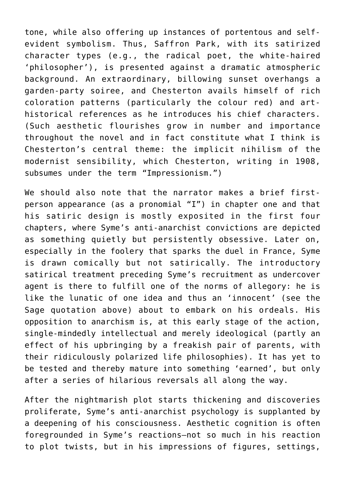tone, while also offering up instances of portentous and selfevident symbolism. Thus, Saffron Park, with its satirized character types (e.g., the radical poet, the white-haired 'philosopher'), is presented against a dramatic atmospheric background. An extraordinary, billowing sunset overhangs a garden-party soiree, and Chesterton avails himself of rich coloration patterns (particularly the colour red) and arthistorical references as he introduces his chief characters. (Such aesthetic flourishes grow in number and importance throughout the novel and in fact constitute what I think is Chesterton's central theme: the implicit nihilism of the modernist sensibility, which Chesterton, writing in 1908, subsumes under the term "Impressionism.")

We should also note that the narrator makes a brief firstperson appearance (as a pronomial "I") in chapter one and that his satiric design is mostly exposited in the first four chapters, where Syme's anti-anarchist convictions are depicted as something quietly but persistently obsessive. Later on, especially in the foolery that sparks the duel in France, Syme is drawn comically but not satirically. The introductory satirical treatment preceding Syme's recruitment as undercover agent is there to fulfill one of the norms of allegory: he is like the lunatic of one idea and thus an 'innocent' (see the Sage quotation above) about to embark on his ordeals. His opposition to anarchism is, at this early stage of the action, single-mindedly intellectual and merely ideological (partly an effect of his upbringing by a freakish pair of parents, with their ridiculously polarized life philosophies). It has yet to be tested and thereby mature into something 'earned', but only after a series of hilarious reversals all along the way.

After the nightmarish plot starts thickening and discoveries proliferate, Syme's anti-anarchist psychology is supplanted by a deepening of his consciousness. Aesthetic cognition is often foregrounded in Syme's reactions—not so much in his reaction to plot twists, but in his impressions of figures, settings,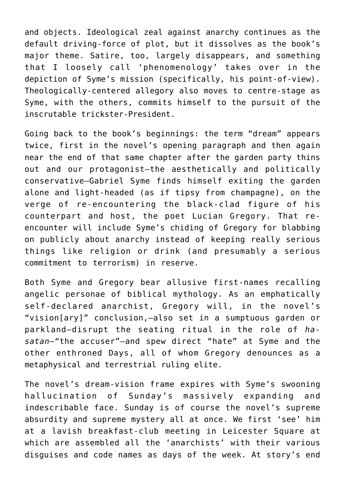and objects. Ideological zeal against anarchy continues as the default driving-force of plot, but it dissolves as the book's major theme. Satire, too, largely disappears, and something that I loosely call 'phenomenology' takes over in the depiction of Syme's mission (specifically, his point-of-view). Theologically-centered allegory also moves to centre-stage as Syme, with the others, commits himself to the pursuit of the inscrutable trickster-President.

Going back to the book's beginnings: the term "dream" appears twice, first in the novel's opening paragraph and then again near the end of that same chapter after the garden party thins out and our protagonist—the aesthetically and politically conservative—Gabriel Syme finds himself exiting the garden alone and light-headed (as if tipsy from champagne), on the verge of re-encountering the black-clad figure of his counterpart and host, the poet Lucian Gregory. That reencounter will include Syme's chiding of Gregory for blabbing on publicly about anarchy instead of keeping really serious things like religion or drink (and presumably a serious commitment to terrorism) in reserve.

Both Syme and Gregory bear allusive first-names recalling angelic personae of biblical mythology. As an emphatically self-declared anarchist, Gregory will, in the novel's "vision[ary]" conclusion,—also set in a sumptuous garden or parkland—disrupt the seating ritual in the role of *hasatan—"*the accuser"—and spew direct "hate" at Syme and the other enthroned Days, all of whom Gregory denounces as a metaphysical and terrestrial ruling elite.

The novel's dream-vision frame expires with Syme's swooning hallucination of Sunday's massively expanding and indescribable face. Sunday is of course the novel's supreme absurdity and supreme mystery all at once. We first 'see' him at a lavish breakfast-club meeting in Leicester Square at which are assembled all the 'anarchists' with their various disguises and code names as days of the week. At story's end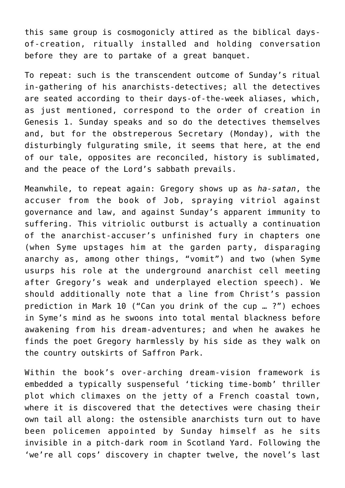this same group is cosmogonicly attired as the biblical daysof-creation, ritually installed and holding conversation before they are to partake of a great banquet.

To repeat: such is the transcendent outcome of Sunday's ritual in-gathering of his anarchists-detectives; all the detectives are seated according to their days-of-the-week aliases, which, as just mentioned, correspond to the order of creation in Genesis 1. Sunday speaks and so do the detectives themselves and, but for the obstreperous Secretary (Monday), with the disturbingly fulgurating smile, it seems that here, at the end of our tale, opposites are reconciled, history is sublimated, and the peace of the Lord's sabbath prevails.

Meanwhile, to repeat again: Gregory shows up as *ha-satan*, the accuser from the book of Job, spraying vitriol against governance and law, and against Sunday's apparent immunity to suffering. This vitriolic outburst is actually a continuation of the anarchist-accuser's unfinished fury in chapters one (when Syme upstages him at the garden party, disparaging anarchy as, among other things, "vomit") and two (when Syme usurps his role at the underground anarchist cell meeting after Gregory's weak and underplayed election speech). We should additionally note that a line from Christ's passion prediction in Mark 10 ("Can you drink of the cup … ?") echoes in Syme's mind as he swoons into total mental blackness before awakening from his dream-adventures; and when he awakes he finds the poet Gregory harmlessly by his side as they walk on the country outskirts of Saffron Park.

Within the book's over-arching dream-vision framework is embedded a typically suspenseful 'ticking time-bomb' thriller plot which climaxes on the jetty of a French coastal town, where it is discovered that the detectives were chasing their own tail all along: the ostensible anarchists turn out to have been policemen appointed by Sunday himself as he sits invisible in a pitch-dark room in Scotland Yard. Following the 'we're all cops' discovery in chapter twelve, the novel's last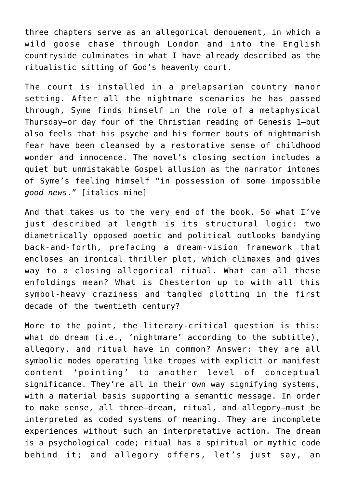three chapters serve as an allegorical denouement, in which a wild goose chase through London and into the English countryside culminates in what I have already described as the ritualistic sitting of God's heavenly court.

The court is installed in a prelapsarian country manor setting. After all the nightmare scenarios he has passed through, Syme finds himself in the role of a metaphysical Thursday—or day four of the Christian reading of Genesis 1—but also feels that his psyche and his former bouts of nightmarish fear have been cleansed by a restorative sense of childhood wonder and innocence. The novel's closing section includes a quiet but unmistakable Gospel allusion as the narrator intones of Syme's feeling himself "in possession of some impossible *good news*." [italics mine]

And that takes us to the very end of the book. So what I've just described at length is its structural logic: two diametrically opposed poetic and political outlooks bandying back-and-forth, prefacing a dream-vision framework that encloses an ironical thriller plot, which climaxes and gives way to a closing allegorical ritual. What can all these enfoldings mean? What is Chesterton up to with all this symbol-heavy craziness and tangled plotting in the first decade of the twentieth century?

More to the point, the literary-critical question is this: what do dream (i.e., 'nightmare' according to the subtitle), allegory, and ritual have in common? Answer: they are all symbolic modes operating like tropes with explicit or manifest content 'pointing' to another level of conceptual significance. They're all in their own way signifying systems, with a material basis supporting a semantic message. In order to make sense, all three—dream, ritual, and allegory—must be interpreted as coded systems of meaning. They are incomplete experiences without such an interpretative action. The dream is a psychological code; ritual has a spiritual or mythic code behind it; and allegory offers, let's just say, an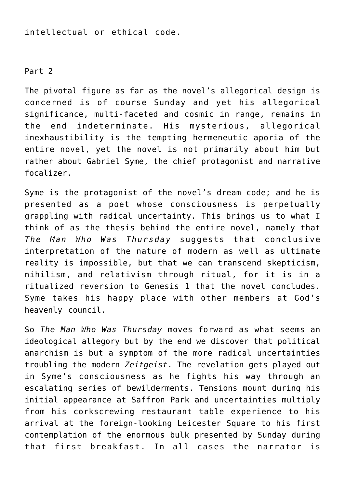intellectual or ethical code.

Part 2

The pivotal figure as far as the novel's allegorical design is concerned is of course Sunday and yet his allegorical significance, multi-faceted and cosmic in range, remains in the end indeterminate. His mysterious, allegorical inexhaustibility is the tempting hermeneutic aporia of the entire novel, yet the novel is not primarily about him but rather about Gabriel Syme, the chief protagonist and narrative focalizer.

Syme is the protagonist of the novel's dream code; and he is presented as a poet whose consciousness is perpetually grappling with radical uncertainty. This brings us to what I think of as the thesis behind the entire novel, namely that *The Man Who Was Thursday* suggests that conclusive interpretation of the nature of modern as well as ultimate reality is impossible, but that we can transcend skepticism, nihilism, and relativism through ritual, for it is in a ritualized reversion to Genesis 1 that the novel concludes. Syme takes his happy place with other members at God's heavenly council.

So *The Man Who Was Thursday* moves forward as what seems an ideological allegory but by the end we discover that political anarchism is but a symptom of the more radical uncertainties troubling the modern *Zeitgeist*. The revelation gets played out in Syme's consciousness as he fights his way through an escalating series of bewilderments. Tensions mount during his initial appearance at Saffron Park and uncertainties multiply from his corkscrewing restaurant table experience to his arrival at the foreign-looking Leicester Square to his first contemplation of the enormous bulk presented by Sunday during that first breakfast. In all cases the narrator is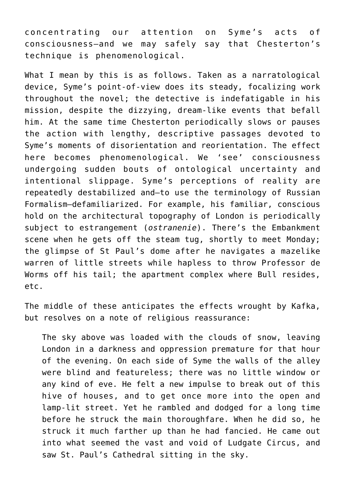concentrating our attention on Syme's acts of consciousness—and we may safely say that Chesterton's technique is phenomenological.

What I mean by this is as follows. Taken as a narratological device, Syme's point-of-view does its steady, focalizing work throughout the novel; the detective is indefatigable in his mission, despite the dizzying, dream-like events that befall him. At the same time Chesterton periodically slows or pauses the action with lengthy, descriptive passages devoted to Syme's moments of disorientation and reorientation. The effect here becomes phenomenological. We 'see' consciousness undergoing sudden bouts of ontological uncertainty and intentional slippage. Syme's perceptions of reality are repeatedly destabilized and—to use the terminology of Russian Formalism—defamiliarized. For example, his familiar, conscious hold on the architectural topography of London is periodically subject to estrangement (*ostranenie*). There's the Embankment scene when he gets off the steam tug, shortly to meet Monday; the glimpse of St Paul's dome after he navigates a mazelike warren of little streets while hapless to throw Professor de Worms off his tail; the apartment complex where Bull resides, etc.

The middle of these anticipates the effects wrought by Kafka, but resolves on a note of religious reassurance:

The sky above was loaded with the clouds of snow, leaving London in a darkness and oppression premature for that hour of the evening. On each side of Syme the walls of the alley were blind and featureless; there was no little window or any kind of eve. He felt a new impulse to break out of this hive of houses, and to get once more into the open and lamp-lit street. Yet he rambled and dodged for a long time before he struck the main thoroughfare. When he did so, he struck it much farther up than he had fancied. He came out into what seemed the vast and void of Ludgate Circus, and saw St. Paul's Cathedral sitting in the sky.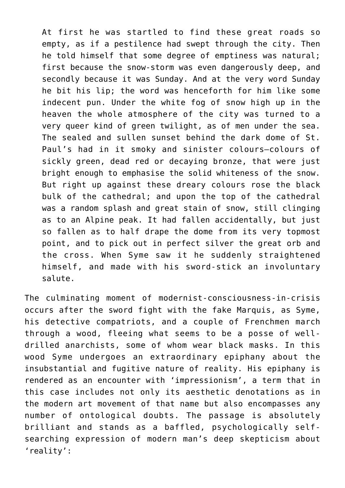At first he was startled to find these great roads so empty, as if a pestilence had swept through the city. Then he told himself that some degree of emptiness was natural; first because the snow-storm was even dangerously deep, and secondly because it was Sunday. And at the very word Sunday he bit his lip; the word was henceforth for him like some indecent pun. Under the white fog of snow high up in the heaven the whole atmosphere of the city was turned to a very queer kind of green twilight, as of men under the sea. The sealed and sullen sunset behind the dark dome of St. Paul's had in it smoky and sinister colours—colours of sickly green, dead red or decaying bronze, that were just bright enough to emphasise the solid whiteness of the snow. But right up against these dreary colours rose the black bulk of the cathedral; and upon the top of the cathedral was a random splash and great stain of snow, still clinging as to an Alpine peak. It had fallen accidentally, but just so fallen as to half drape the dome from its very topmost point, and to pick out in perfect silver the great orb and the cross. When Syme saw it he suddenly straightened himself, and made with his sword-stick an involuntary salute.

The culminating moment of modernist-consciousness-in-crisis occurs after the sword fight with the fake Marquis, as Syme, his detective compatriots, and a couple of Frenchmen march through a wood, fleeing what seems to be a posse of welldrilled anarchists, some of whom wear black masks. In this wood Syme undergoes an extraordinary epiphany about the insubstantial and fugitive nature of reality. His epiphany is rendered as an encounter with 'impressionism', a term that in this case includes not only its aesthetic denotations as in the modern art movement of that name but also encompasses any number of ontological doubts. The passage is absolutely brilliant and stands as a baffled, psychologically selfsearching expression of modern man's deep skepticism about 'reality':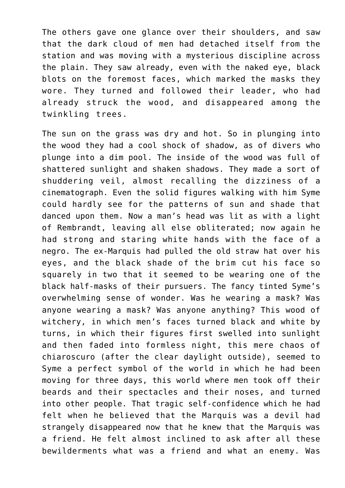The others gave one glance over their shoulders, and saw that the dark cloud of men had detached itself from the station and was moving with a mysterious discipline across the plain. They saw already, even with the naked eye, black blots on the foremost faces, which marked the masks they wore. They turned and followed their leader, who had already struck the wood, and disappeared among the twinkling trees.

The sun on the grass was dry and hot. So in plunging into the wood they had a cool shock of shadow, as of divers who plunge into a dim pool. The inside of the wood was full of shattered sunlight and shaken shadows. They made a sort of shuddering veil, almost recalling the dizziness of a cinematograph. Even the solid figures walking with him Syme could hardly see for the patterns of sun and shade that danced upon them. Now a man's head was lit as with a light of Rembrandt, leaving all else obliterated; now again he had strong and staring white hands with the face of a negro. The ex-Marquis had pulled the old straw hat over his eyes, and the black shade of the brim cut his face so squarely in two that it seemed to be wearing one of the black half-masks of their pursuers. The fancy tinted Syme's overwhelming sense of wonder. Was he wearing a mask? Was anyone wearing a mask? Was anyone anything? This wood of witchery, in which men's faces turned black and white by turns, in which their figures first swelled into sunlight and then faded into formless night, this mere chaos of chiaroscuro (after the clear daylight outside), seemed to Syme a perfect symbol of the world in which he had been moving for three days, this world where men took off their beards and their spectacles and their noses, and turned into other people. That tragic self-confidence which he had felt when he believed that the Marquis was a devil had strangely disappeared now that he knew that the Marquis was a friend. He felt almost inclined to ask after all these bewilderments what was a friend and what an enemy. Was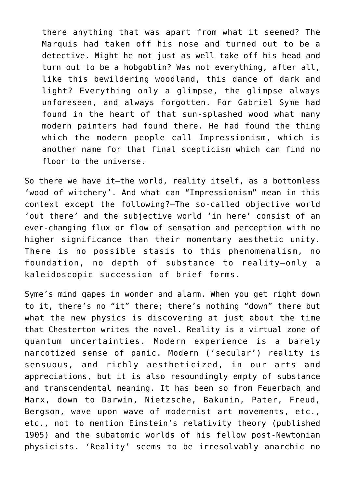there anything that was apart from what it seemed? The Marquis had taken off his nose and turned out to be a detective. Might he not just as well take off his head and turn out to be a hobgoblin? Was not everything, after all, like this bewildering woodland, this dance of dark and light? Everything only a glimpse, the glimpse always unforeseen, and always forgotten. For Gabriel Syme had found in the heart of that sun-splashed wood what many modern painters had found there. He had found the thing which the modern people call Impressionism, which is another name for that final scepticism which can find no floor to the universe.

So there we have it—the world, reality itself, as a bottomless 'wood of witchery'. And what can "Impressionism" mean in this context except the following?—The so-called objective world 'out there' and the subjective world 'in here' consist of an ever-changing flux or flow of sensation and perception with no higher significance than their momentary aesthetic unity. There is no possible stasis to this phenomenalism, no foundation, no depth of substance to reality—only a kaleidoscopic succession of brief forms.

Syme's mind gapes in wonder and alarm. When you get right down to it, there's no "it" there; there's nothing "down" there but what the new physics is discovering at just about the time that Chesterton writes the novel. Reality is a virtual zone of quantum uncertainties. Modern experience is a barely narcotized sense of panic. Modern ('secular') reality is sensuous, and richly aestheticized, in our arts and appreciations, but it is also resoundingly empty of substance and transcendental meaning. It has been so from Feuerbach and Marx, down to Darwin, Nietzsche, Bakunin, Pater, Freud, Bergson, wave upon wave of modernist art movements, etc., etc., not to mention Einstein's relativity theory (published 1905) and the subatomic worlds of his fellow post-Newtonian physicists. 'Reality' seems to be irresolvably anarchic no